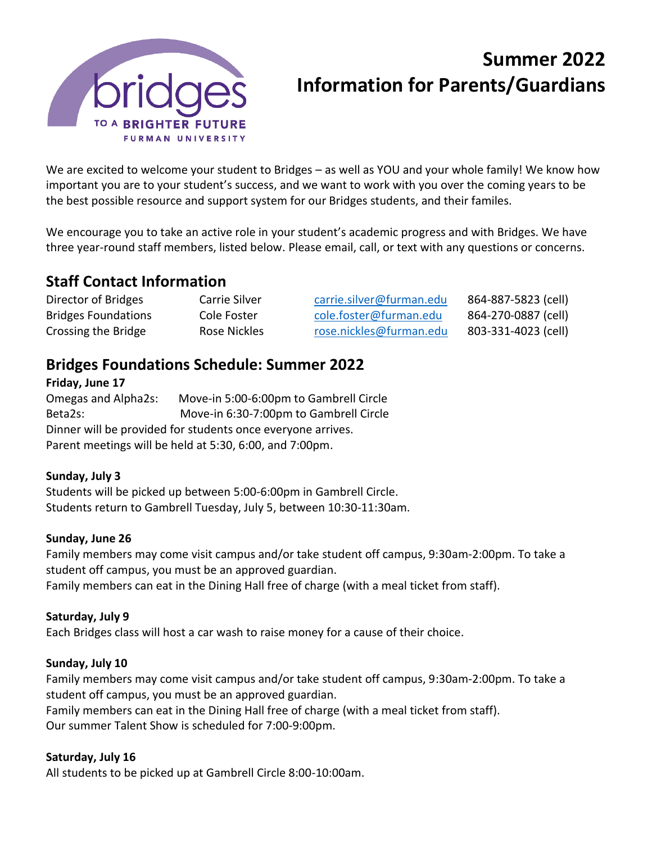

# **Summer 2022 Information for Parents/Guardians**

We are excited to welcome your student to Bridges – as well as YOU and your whole family! We know how important you are to your student's success, and we want to work with you over the coming years to be the best possible resource and support system for our Bridges students, and their familes.

We encourage you to take an active role in your student's academic progress and with Bridges. We have three year-round staff members, listed below. Please email, call, or text with any questions or concerns.

# **Staff Contact Information**

| Director of Bridges        | Carrie Silver | carrie.silver@furman.edu | 864-887-5823 (cell) |
|----------------------------|---------------|--------------------------|---------------------|
| <b>Bridges Foundations</b> | Cole Foster   | cole.foster@furman.edu   | 864-270-0887 (cell) |
| Crossing the Bridge        | Rose Nickles  | rose.nickles@furman.edu  | 803-331-4023 (cell) |

# **Bridges Foundations Schedule: Summer 2022**

**Friday, June 17** Omegas and Alpha2s: Move-in 5:00-6:00pm to Gambrell Circle Beta2s: Move-in 6:30-7:00pm to Gambrell Circle Dinner will be provided for students once everyone arrives. Parent meetings will be held at 5:30, 6:00, and 7:00pm.

# **Sunday, July 3**

Students will be picked up between 5:00-6:00pm in Gambrell Circle. Students return to Gambrell Tuesday, July 5, between 10:30-11:30am.

#### **Sunday, June 26**

Family members may come visit campus and/or take student off campus, 9:30am-2:00pm. To take a student off campus, you must be an approved guardian. Family members can eat in the Dining Hall free of charge (with a meal ticket from staff).

# **Saturday, July 9**

Each Bridges class will host a car wash to raise money for a cause of their choice.

#### **Sunday, July 10**

Family members may come visit campus and/or take student off campus, 9:30am-2:00pm. To take a student off campus, you must be an approved guardian. Family members can eat in the Dining Hall free of charge (with a meal ticket from staff).

Our summer Talent Show is scheduled for 7:00-9:00pm.

#### **Saturday, July 16**

All students to be picked up at Gambrell Circle 8:00-10:00am.